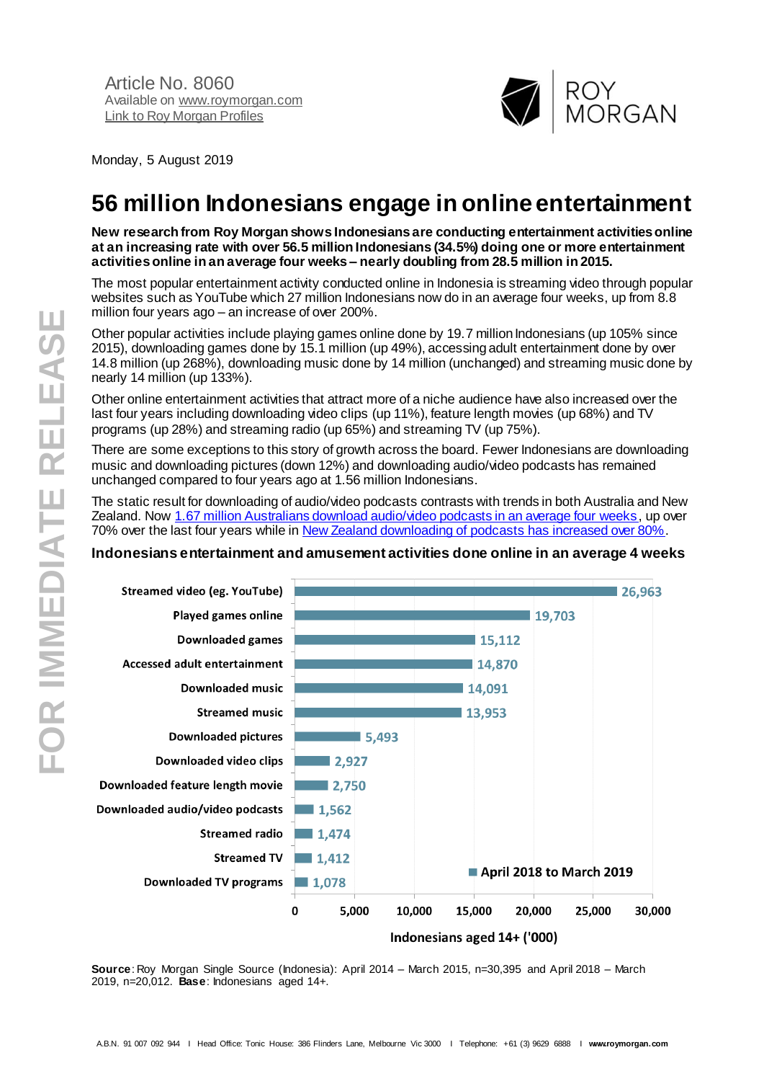

Monday, 5 August 2019

# **56 million Indonesians engage in online entertainment**

**New research from Roy Morgan shows Indonesians are conducting entertainment activities online at an increasing rate with over 56.5 million Indonesians (34.5%) doing one or more entertainment activitiesonline in an average four weeks – nearly doubling from 28.5 million in 2015.**

The most popular entertainment activity conducted online in Indonesia is streaming video through popular websites such as YouTube which 27 million Indonesians now do in an average four weeks, up from 8.8 million four years ago – an increase of over 200%.

Other popular activities include playing games online done by 19.7 million Indonesians (up 105% since 2015), downloading games done by 15.1 million (up 49%), accessing adult entertainment done by over 14.8 million (up 268%), downloading music done by 14 million (unchanged) and streaming music done by nearly 14 million (up 133%).

Other online entertainment activities that attract more of a niche audience have also increased over the last four years including downloading video clips (up 11%), feature length movies (up 68%) and TV programs (up 28%) and streaming radio (up 65%) and streaming TV (up 75%).

There are some exceptions to this story of growth across the board. Fewer Indonesians are downloading music and downloading pictures (down 12%) and downloading audio/video podcasts has remained unchanged compared to four years ago at 1.56 million Indonesians.

The static result for downloading of audio/video podcasts contrasts with trends in both Australia and New Zealand. No[w 1.67 million Australians download audio/video podcasts in an average four weeks](http://www.roymorgan.com/findings/8056-podcast-listeners-australia-march-2019-201907190703), up over 70% over the last four years while i[n New Zealand downloading of podcasts has increased over 80%](http://www.roymorgan.com/findings/8053-podcast-listeners-new-zealand-march-2019-201907190246).

## **Indonesians entertainment and amusement activities done online in an average 4 weeks**



**Source**: Roy Morgan Single Source (Indonesia): April 2014 – March 2015, n=30,395 and April 2018 – March 2019, n=20,012. **Base**: Indonesians aged 14+.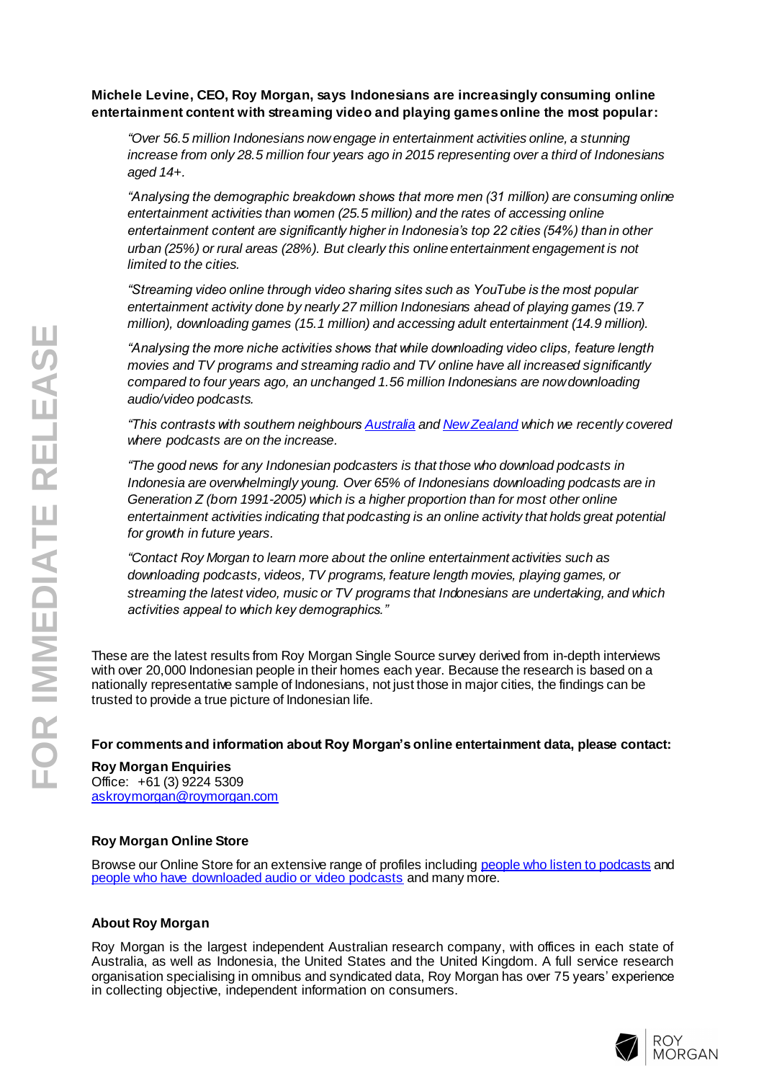## **Michele Levine, CEO, Roy Morgan, says Indonesians are increasingly consuming online entertainment content with streaming video and playing games online the most popular :**

*"Over 56.5 million Indonesians now engage in entertainment activities online, a stunning increase from only 28.5 million four years ago in 2015 representing over a third of Indonesians aged 14+.*

*"Analysing the demographic breakdown shows that more men (31 million) are consuming online entertainment activities than women (25.5 million) and the rates of accessing online entertainment content are significantly higher in Indonesia's top 22 cities (54%) than in other urban (25%) or rural areas (28%). But clearly this online entertainment engagement is not limited to the cities.*

*"Streaming video online through video sharing sites such as YouTube is the most popular entertainment activity done by nearly 27 million Indonesians ahead of playing games (19.7 million), downloading games (15.1 million) and accessing adult entertainment (14.9 million).*

*"Analysing the more niche activities shows that while downloading video clips, feature length movies and TV programs and streaming radio and TV online have all increased significantly compared to four years ago , an unchanged 1.56 million Indonesians are now downloading audio/video podcasts.*

*"This contrasts with southern neighbour[s Australia](http://www.roymorgan.com/findings/8056-podcast-listeners-australia-march-2019-201907190703) an[d New Zealand](http://www.roymorgan.com/findings/8053-podcast-listeners-new-zealand-march-2019-201907190246) which we recently covered where podcasts are on the increase .*

*" The good news for any Indonesian podcasters is that those who download podcasts in Indonesia are overwhelmingly young. Over 65% of Indonesians downloading podcasts are in Generation Z (born 1991 -2005) which is a higher proportion than for most other online entertainment activities indicating that podcasting is an online activity that holds great potential for growth in future years.*

*"Contact Roy Morgan to learn more about the online entertainment activities such as downloading podcasts, videos, TV programs, feature length movies, playing games, or streaming the latest video, music or TV programs that Indonesians are undertaking, and which activities appeal to which key demographics."*

These are the latest results from Roy Morgan Single Source survey derived from in -depth interviews with over 20,000 Indonesian people in their homes each year. Because the research is based on a nationally representative sample of Indonesians, not just those in major cities, the findings can be trusted to provide a true picture of Indonesian life.

**For comments and information about Roy Morgan's online entertainment data, please contact:**

**Roy Morgan Enquiries**

Office: +61 (3) 9224 5309 [askroymorgan@roymorgan.com](mailto:askroymorgan@roymorgan.com)

## **Roy Morgan Online Store**

Browse our Online Store for an extensive range of profiles includin[g people who listen to podcasts](https://store.roymorgan.com/product/People-who-listen-to-Podcasts-Profile-13598) and [people who have downloaded audio or video podcasts](https://store.roymorgan.com/product/People-who-have-downloaded-audio-or-video-Podcasts-Profile-13599) and many more.

## **About Roy Morgan**

Roy Morgan is the largest independent Australian research company, with offices in each state of Australia, as well as Indonesia, the United States and the United Kingdom. A full service research organisation specialising in omnibus and syndicated data, Roy Morgan has over 7 5 years' experience in collecting objective, independent information on consumers.